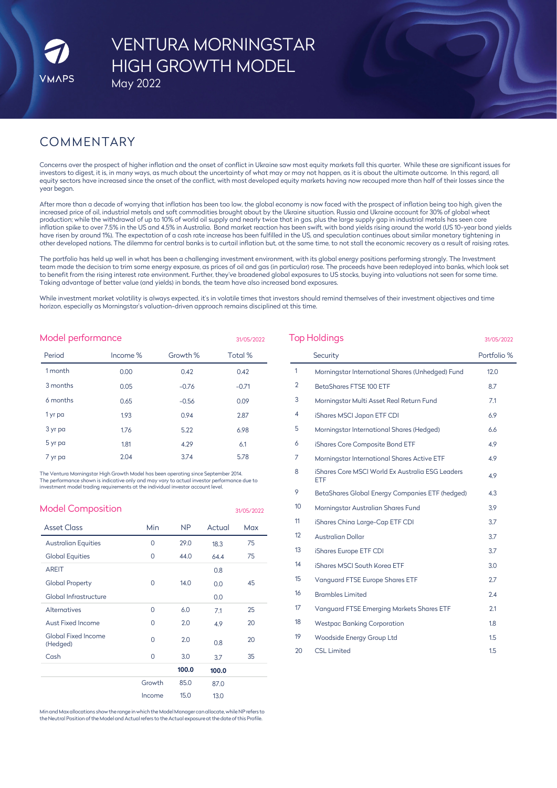# VENTURA MORNINGSTAR HIGH GROWTH MODEL May 2022

# COMMENTARY

Concerns over the prospect of higher inflation and the onset of conflict in Ukraine saw most equity markets fall this quarter. While these are significant issues for investors to digest, it is, in many ways, as much about the uncertainty of what may or may not happen, as it is about the ultimate outcome. In this regard, all equity sectors have increased since the onset of the conflict, with most developed equity markets having now recouped more than half of their losses since the year began.

After more than a decade of worrying that inflation has been too low, the global economy is now faced with the prospect of inflation being too high, given the increased price of oil, industrial metals and soft commodities brought about by the Ukraine situation. Russia and Ukraine account for 30% of global wheat production; while the withdrawal of up to 10% of world oil supply and nearly twice that in gas, plus the large supply gap in industrial metals has seen core inflation spike to over 7.5% in the US and 4.5% in Australia. Bond market reaction has been swift, with bond yields rising around the world (US 10-year bond yields have risen by around 1%). The expectation of a cash rate increase has been fulfilled in the US, and speculation continues about similar monetary tightening in other developed nations. The dilemma for central banks is to curtail inflation but, at the same time, to not stall the economic recovery as a result of raising rates.

The portfolio has held up well in what has been a challenging investment environment, with its global energy positions performing strongly. The Investment team made the decision to trim some energy exposure, as prices of oil and gas (in particular) rose. The proceeds have been redeployed into banks, which look set to benefit from the rising interest rate environment. Further, they've broadened global exposures to US stocks, buying into valuations not seen for some time. Taking advantage of better value (and yields) in bonds, the team have also increased bond exposures.

While investment market volatility is always expected, it's in volatile times that investors should remind themselves of their investment objectives and time horizon, especially as Morningstar's valuation-driven approach remains disciplined at this time.

31/05/2022

| Model performance |
|-------------------|
|-------------------|

| Period   | Income % | Growth % | Total % |
|----------|----------|----------|---------|
| 1 month  | 0.00     | 0.42     | 0.42    |
| 3 months | 0.05     | $-0.76$  | $-0.71$ |
| 6 months | 0.65     | $-0.56$  | 0.09    |
| 1 yr pa  | 1.93     | 0.94     | 2.87    |
| 3 yr pa  | 1.76     | 5.22     | 6.98    |
| 5 yr pa  | 1.81     | 4.29     | 6.1     |
| 7 yr pa  | 2.04     | 3.74     | 5.78    |

The Ventura Morningstar High Growth Model has been operating since September 2014. The performance shown is indicative only and may vary to actual investor performance due to investment model trading requirements at the individual investor account level.

| <b>Model Composition</b>               |          |           |        | 31/05/2022 |
|----------------------------------------|----------|-----------|--------|------------|
| <b>Asset Class</b>                     | Min      | <b>NP</b> | Actual | Max        |
| <b>Australian Equities</b>             | $\Omega$ | 29.0      | 18.3   | 75         |
| <b>Global Equities</b>                 | $\Omega$ | 44.0      | 64.4   | 75         |
| <b>AREIT</b>                           |          |           | 0.8    |            |
| <b>Global Property</b>                 | $\Omega$ | 14.0      | 0.0    | 45         |
| Global Infrastructure                  |          |           | 0.0    |            |
| <b>Alternatives</b>                    | $\Omega$ | 6.0       | 7.1    | 25         |
| Aust Fixed Income                      | 0        | 2.0       | 4.9    | 20         |
| <b>Global Fixed Income</b><br>(Hedged) | $\Omega$ | 2.0       | 0.8    | 20         |
| Cash                                   | $\Omega$ | 3.0       | 3.7    | 35         |
|                                        |          | 100.0     | 100.0  |            |
|                                        | Growth   | 85.0      | 87.0   |            |
|                                        | Income   | 15.0      | 13.0   |            |

Minand Max allocations show the range inwhichthe Model Manager canallocate, while NP refers to the Neutral Position of the Model and Actual refers to the Actual exposure at the date of this Profile.

| <b>Top Holdings</b> | 31/05/2022                                              |             |
|---------------------|---------------------------------------------------------|-------------|
|                     | Security                                                | Portfolio % |
| $\mathbf{1}$        | Morningstar International Shares (Unhedged) Fund        | 12.0        |
| $\overline{2}$      | BetaShares FTSE 100 ETF                                 | 8.7         |
| 3                   | Morningstar Multi Asset Real Return Fund                | 7.1         |
| 4                   | iShares MSCI Japan ETF CDI                              | 6.9         |
| 5                   | Morningstar International Shares (Hedged)               | 6.6         |
| 6                   | iShares Core Composite Bond ETF                         | 4.9         |
| 7                   | Morningstar International Shares Active ETF             | 4.9         |
| 8                   | iShares Core MSCI World Ex Australia ESG Leaders<br>ETF | 4.9         |
| 9                   | BetaShares Global Energy Companies ETF (hedged)         | 4.3         |
| 10 <sup>°</sup>     | Morningstar Australian Shares Fund                      | 3.9         |
| 11                  | iShares China Large-Cap ETF CDI                         | 3.7         |
| 12                  | <b>Australian Dollar</b>                                | 3.7         |
| 13                  | iShares Europe ETF CDI                                  | 3.7         |
| 14                  | iShares MSCI South Korea ETF                            | 3.0         |
| 15                  | Vanguard FTSE Europe Shares ETF                         | 2.7         |
| 16                  | <b>Brambles Limited</b>                                 | 2.4         |
| 17                  | Vanguard FTSE Emerging Markets Shares ETF               | 2.1         |
| 18                  | <b>Westpac Banking Corporation</b>                      | 1.8         |
| 19                  | Woodside Energy Group Ltd                               | 1.5         |
| 20                  | <b>CSL Limited</b>                                      | 1.5         |